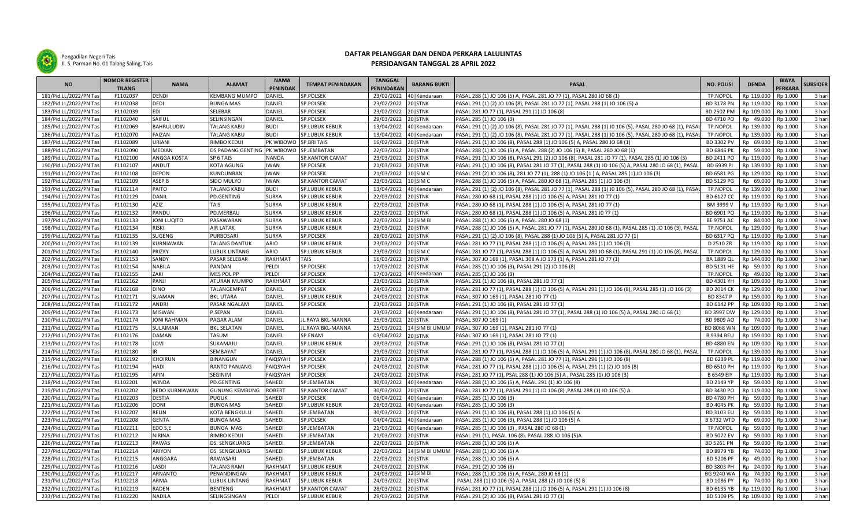

Pengadilan Negeri Tais Jl. S. Parman No. 01 Talang Saling, Tais

## **DAFTAR PELANGGAR DAN DENDA PERKARA LALULINTAS**

## **PERSIDANGAN TANGGAL 28 APRIL 2022**

| <b>NO</b>              | <b>NOMOR REGISTER</b> | <b>NAMA</b>       |                                         | <b>NAMA</b><br><b>PENINDAK</b> | <b>TEMPAT PENINDAKAN</b> | <b>TANGGAL</b><br><b>BARANG BUKTI</b><br>PENINDAKAN |                         | <b>PASAL</b>                                                                                           | <b>NO. POLISI</b> | <b>DENDA</b> | <b>BIAYA</b> | <b>SUBSIDER</b> |
|------------------------|-----------------------|-------------------|-----------------------------------------|--------------------------------|--------------------------|-----------------------------------------------------|-------------------------|--------------------------------------------------------------------------------------------------------|-------------------|--------------|--------------|-----------------|
|                        | <b>TILANG</b>         |                   | <b>ALAMAT</b>                           |                                |                          |                                                     |                         |                                                                                                        |                   |              | PERKARA      |                 |
| 181/Pid.LL/2022/PN Ta  | F1102037              | DENDI             | <b>KEMBANG MUMPO</b>                    | <b>DANIEL</b>                  | SP.POLSEK                | 23/02/2022                                          | 40   Kendaraan          | PASAL 288 (1) JO 106 (5) A, PASAL 281 JO 77 (1), PASAL 280 JO 68 (1)                                   | <b>TP.NOPOL</b>   | Rp 119.000   | Rp 1.000     | 3 hari          |
| 182/Pid.LL/2022/PN Tas | F1102038              | DEDI              | <b>BUNGA MAS</b>                        | DANIEL                         | SP.POLSEK                | 23/02/2022                                          | 20 STNK                 | PASAL 291 (1) (2) JO 106 (8), PASAL 281 JO 77 (1), PASAL 288 (1) JO 106 (5) A                          | BD 3178 PN        | Rp 119.000   | Rp 1.000     | 3 hari          |
| 183/Pid.LL/2022/PN Tas | F1102039              | EDI               | SELEBAR                                 | DANIEL                         | SP.POLSEK                | 23/02/2022                                          | 20 STNK                 | PASAL 281 JO 77 (1), PASAL 291 (1) JO 106 (8)                                                          | BD 2502 PM        | Rp 109.000   | Rp 1.000     | 3 hari          |
| 184/Pid.LL/2022/PN Tas | F1102040              | SAIFUL            | SELINSINGAN                             | DANIEL                         | SP.POLSEK                | 29/03/2022                                          | 20 STNK                 | PASAL 285 (1) JO 106 (3)                                                                               | BD 4710 PO        | Rp 49.000    | Rp 1.000     | 3 hari          |
| 185/Pid.LL/2022/PN Ta  | F1102069              | BAHRULUDIN        | <b>TALANG KABU</b>                      | <b>BUDI</b>                    | <b>SP.LUBUK KEBUR</b>    | 13/04/2022                                          | 40   Kendaraan          | PASAL 291 (1) (2) JO 106 (8), PASAL 281 JO 77 (1), PASAL 288 (1) JO 106 (5), PASAL 280 JO 68 (1), PASA | <b>TP.NOPOL</b>   | Rp 139.000   | Rp 1.000     | 3 hari          |
| 186/Pid.LL/2022/PN Ta  | F1102070              | FAIZAN            | <b>TALANG KABU</b>                      | <b>BUDI</b>                    | <b>SP.LUBUK KEBUR</b>    | 13/04/2022                                          | 40   Kendaraan          | PASAL 291 (1) (2) JO 106 (8), PASAL 281 JO 77 (1), PASAL 288 (1) JO 106 (5), PASAL 280 JO 68 (1), PASA | TP.NOPOL          | Rp 139.000   | Rp 1.000     | 3 hari          |
| 187/Pid.LL/2022/PN Tas | F1102089              | URIANI            | <b>RIMBO KEDUI</b>                      | PK WIBOWO SP.BRI TAIS          |                          | 16/02/2022                                          | 20 STNK                 | PASAL 291 (1) JO 106 (8), PASAL 288 (1) JO 106 (5) A, PASAL 280 JO 68 (1)                              | BD 3302 PV        | Rp 69.000    | Rp 1.000     | 3 hari          |
| 188/Pid.LL/2022/PN Tas | F1102090              | MEDIAN            | DS PADANG GENTING PK WIBOWO SP.JEMBATAN |                                |                          | 22/03/2022 20 STNK                                  |                         | PASAL 288 (1) JO 106 (5) A, PASAL 288 (2) JO 106 (5) B, PASAL 280 JO 68 (1)                            | <b>BD 6846 PK</b> | Rp 59.000    | Rp 1.000     | 3 hari          |
| 189/Pid.LL/2022/PN Ta  | F1102100              | ANGGA KOSTA       | SP 6 TAIS                               | <b>NANDA</b>                   | SP.KANTOR CAMAT          | 23/03/2022                                          | 20 STNK                 | PASAL 291 (1) JO 106 (8), PASAL 291 (2) JO 106 (8), PASAL 281 JO 77 (1), PASAL 285 (1) JO 106 (3)      | BD 2411 PO        | Rp 119.000   | Rp 1.000     | 3 hari          |
| 190/Pid.LL/2022/PN Tas | F1102107              | ANDUT             | <b>KOTA AGUNG</b>                       | <b>IWAN</b>                    | SP.POLSEK                | 21/03/2022                                          | 20 STNK                 | PASAL 291 (1) JO 106 (8), PASAL 281 JO 77 (1), PASAL 288 (1) JO 106 (5) A, PASAL 280 JO 68 (1), PASAL  | BD 6939 PI        | Rp 139.000   | Rp 1.000     | 3 hari          |
| 191/Pid.LL/2022/PN Tas | F1102108              | <b>DEPON</b>      | KUNDUNRAN                               | <b>IWAN</b>                    | SP.POLSEK                | 21/03/2022 10 SIM C                                 |                         | PASAL 291 (2) JO 106 (8), 281 JO 77 (1), 288 (1) JO 106 (1) A, PASAL 285 (1) JO 106 (3)                | BD 6581 PG        | Rp 129.000   | Rp 1.000     | 3 hari          |
| 192/Pid.LL/2022/PN Tas | F1102109              | ASEP <sub>B</sub> | SIDO MULYO                              | <b>IWAN</b>                    | <b>SP.KANTOR CAMAT</b>   | 23/03/2022                                          | 10   SIM C              | PASAL 288 (1) JO 106 (5) A, PASAL 280 JO 68 (1), PASAL 285 (1) JO 106 (3)                              | BD 5129 PG        | Rp 69.000    | Rp 1.000     | 3 hari          |
| 193/Pid.LL/2022/PN Tas | F1102114              | PAITO             | <b>TALANG KABU</b>                      | <b>BUDI</b>                    | <b>SP.LUBUK KEBUR</b>    | 13/04/2022                                          | 40   Kendaraan          | PASAL 291 (1) (2) JO 106 (8), PASAL 281 JO 77 (1), PASAL 288 (1) JO 106 (5), PASAL 280 JO 68 (1), PASA | TP.NOPOL          | Rp 139.000   | Rp 1.000     | 3 hari          |
| 194/Pid.LL/2022/PN Tas | F1102129              | DANIL             | PD.GENTING                              | <b>SURYA</b>                   | <b>SP.LUBUK KEBUR</b>    | 22/03/2022                                          | 20 STNK                 | PASAL 280 JO 68 (1), PASAL 288 (1) JO 106 (5) A, PASAL 281 JO 77 (1)                                   | BD 6127 CC        | Rp 119.000   | Rp 1.000     | 3 hari          |
| 195/Pid.LL/2022/PN Tas | F1102130              | AZIZ              | TAIS                                    | <b>SURYA</b>                   | <b>SP.LUBUK KEBUR</b>    | 22/03/2022                                          | 20 STNK                 | PASAL 280 JO 68 (1), PASAL 288 (1) JO 106 (5) A, PASAL 281 JO 77 (1)                                   | BM 3999 V         | Rp 119.000   | Rp 1.000     | 3 hari          |
| 196/Pid.LL/2022/PN Tas | F1102132              | PANDU             | PD.MERBAU                               | <b>SURYA</b>                   | <b>SP.LUBUK KEBUR</b>    | 22/03/2022                                          | 20 STNK                 | PASAL 280 JO 68 (1), PASAL 288 (1) JO 106 (5) A, PASAL 281 JO 77 (1)                                   | BD 6901 PO        | Rp 119.000   | Rp 1.000     | 3 hari          |
| 197/Pid.LL/2022/PN Tas | F1102133              | JONI LUQITO       | PASAWARAN                               | <b>SURYA</b>                   | <b>SP.LUBUK KEBUR</b>    | 22/03/2022                                          | 12   SIM BI             | PASAL 288 (1) JO 106 (5) A, PASAL 280 JO 68 (1)                                                        | <b>BE 9751 AC</b> | Rp 84.000    | Rp 1.000     | 3 hari          |
| 198/Pid.LL/2022/PN Tas | F1102134              | riski             | <b>AIR LATAK</b>                        | <b>SURYA</b>                   | <b>SP.LUBUK KEBUR</b>    | 23/03/2022                                          | 20 STNK                 | PASAL 288 (1) JO 106 (5) A, PASAL 281 JO 77 (1), PASAL 280 JO 68 (1), PASAL 285 (1) JO 106 (3), PASAL  | TP.NOPOL          | Rp 129.000   | Rp 1.000     | 3 hari          |
| 199/Pid.LL/2022/PN Tas | F1102135              | SUGENG            | <b>PURBOSARI</b>                        | <b>SURYA</b>                   | SP.POLSEK                | 28/03/2022                                          | 20 STNK                 | PASAL 291 (1) (2) JO 106 (8), PASAL 288 (1) JO 106 (5) A, PASAL 281 JO 77 (1)                          | BD 6317 PQ        | Rp 119.000   | Rp 1.000     | 3 hari          |
| 200/Pid.LL/2022/PN Tas | F1102139              | KURNIAWAN         | <b>TALANG DANTUK</b>                    | ARIO                           | <b>SP.LUBUK KEBUR</b>    | 23/03/2022                                          | 20 STNK                 | PASAL 281 JO 77 (1), PASAL 288 (1) JO 106 (5) A, PASAL 285 (1) JO 106 (3)                              | D 2510 ZR         | Rp 119.000   | Rp 1.000     | 3 hari          |
| 201/Pid.LL/2022/PN Tas | F1102140              | PRIZKY            | LUBUK LINTANG                           | ARIO                           | <b>SP.LUBUK KEBUR</b>    | 23/03/2022                                          | 10   SIM C              | PASAL 281 JO 77 (1), PASAL 288 (1) JO 106 (5) A, PASAL 280 JO 68 (1), PASAL 291 (1) JO 106 (8), PASAL  | <b>TP.NOPOL</b>   | Rp 129.000   | Rp 1.000     | 3 hari          |
| 202/Pid.LL/2022/PN Ta  | F1102153              | SANDY             | <b>PASAR SELEBAR</b>                    | <b>RAKHMAT</b>                 | <b>TAIS</b>              | 16/03/2022                                          | 20 STNK                 | PASAL 307 JO 169 (1), PASAL 308 A JO 173 (1) A, PASAL 281 JO 77 (1)                                    | <b>BA 1889 QL</b> | Rp 144.000   | Rp 1.000     | 3 hari          |
| 203/Pid.LL/2022/PN Tas | F1102154              | <b>NABILA</b>     | PANDAN                                  | PELDI                          | SP.POLSEK                | 17/03/2022                                          | 20 STNK                 | PASAL 285 (1) JO 106 (3), PASAL 291 (2) JO 106 (8)                                                     | BD 5131 HE        | Rp 59.000    | Rp 1.000     | 3 hari          |
| 204/Pid.LL/2022/PN Tas | F1102155              | ZAKI              | MES POL PP                              | PELDI                          | SP.POLSEK                | 17/03/2022                                          | 40   Kendaraan          | PASAL 285 (1) JO 106 (3)                                                                               | TP.NOPOL          | Rp 49.000    | Rp 1.000     | 3 hari          |
| 205/Pid.LL/2022/PN Tas | F1102162              | PANJI             | <b>ATURAN MUMPO</b>                     | <b>RAKHMAT</b>                 | <b>SP.POLSEK</b>         | 23/03/2022                                          | 20 STNK                 | PASAL 291 (1) JO 106 (8), PASAL 281 JO 77 (1)                                                          | BD 4301 YH        | Rp 109.000   | Rp 1.000     | 3 hari          |
| 206/Pid.LL/2022/PN Tas | F1102168              | DINO              | TALANGEMPAT                             | DANIEL                         | SP.POLSEK                | 24/03/2022                                          | 20 STNK                 | PASAL 281 JO 77 (1), PASAL 288 (1) JO 106 (5) A, PASAL 291 (1) JO 106 (8), PASAL 285 (1) JO 106 (3)    | <b>BD 2014 CK</b> | Rp 129.000   | Rp 1.000     | 3 hari          |
| 207/Pid.LL/2022/PN Tas | F1102171              | SUAMAN            | <b>BKL UTARA</b>                        | DANIEL                         | <b>SP.LUBUK KEBUR</b>    | 24/03/2022                                          | 20 STNK                 | PASAL 307 JO 169 (1), PASAL 281 JO 77 (1)                                                              | BD 8347 P         | Rp 159.000   | Rp 1.000     | 3 hari          |
| 208/Pid.LL/2022/PN Ta  | F1102172              | ANDRI             | PASAR NGALAM                            | <b>DANIEL</b>                  | SP.POLSEK                | 23/03/2022                                          | 20 STNK                 | PASAL 291 (1) JO 106 (8), PASAL 281 JO 77 (1)                                                          | BD 6142 PP        | Rp 109.000   | Rp 1.000     | 3 hari          |
| 209/Pid.LL/2022/PN Tas | F1102173              | MISWAN            | P.SEPAN                                 | <b>DANIEL</b>                  |                          | 23/03/2022                                          | 40   Kendaraan          | PASAL 291 (1) JO 106 (8), PASAL 281 JO 77 (1), PASAL 288 (1) JO 106 (5) A, PASAL 280 JO 68 (1)         | BD 3997 DW        | Rp 129.000   | Rp 1.000     | 3 hari          |
| 210/Pid.LL/2022/PN Tas | F1102174              | JONI RAHMAN       | PAGAR ALAM                              | DANIEL                         | JL.RAYA BKL-MANNA        | 25/03/2022                                          | 20 STNK                 | PASAL 307 JO 169 (1)                                                                                   | BD 9809 AO        | Rp 74.000    | Rp 1.000     | 3 hari          |
| 211/Pid.LL/2022/PN Ta  | F1102175              | SULAIMAN          | <b>BKL SELATAN</b>                      | DANIEL                         | JL.RAYA BKL-MANNA        | 25/03/2022                                          | 14 SIM BI UMUM          | PASAL 307 JO 169 (1), PASAL 281 JO 77 (1)                                                              | <b>BD 8068 WN</b> | Rp 109.000   | Rp 1.000     | 3 hari          |
| 212/Pid.LL/2022/PN Ta  | F1102176              | DAMAN             | <b>TASUM</b>                            | DANIEL                         | SP.ENAM                  | 03/04/2022                                          | 20 STNK                 | PASAL 307 JO 169 (1), PASAL 281 JO 77 (1)                                                              | <b>B 9394 BEU</b> | Rp 159.000   | Rp 1.000     | 3 hari          |
| 213/Pid.LL/2022/PN Tas | F1102178              | LOVI              | SUKAMAJU                                | DANIEL                         | <b>SP.LUBUK KEBUR</b>    | 28/03/2022                                          | 20 STNK                 | PASAL 291 (1) JO 106 (8), PASAL 281 JO 77 (1)                                                          | <b>BD 4880 EN</b> | Rp 109.000   | Rp 1.000     | 3 hari          |
| 214/Pid.LL/2022/PN Tas | F1102180              |                   | <b>SEMBAYAT</b>                         | DANIEL                         | SP.POLSEK                | 29/03/2022                                          | 20 STNK                 | PASAL 281 JO 77 (1), PASAL 288 (1) JO 106 (5) A, PASAL 291 (1) JO 106 (8), PASAL 280 JO 68 (1), PASAL  | TP.NOPOL          | Rp 139.000   | Rp 1.000     | 3 hari          |
| 215/Pid.LL/2022/PN Tas | F1102192              | KHOIRUN           | <b>BINANGUN</b>                         | <b>FAIOSYAH</b>                | SP.POLSEK                | 23/03/2022                                          | 20 STNK                 | PASAL 288 (1) JO 106 (5) A, PASAL 281 JO 77 (1), PASAL 291 (1) JO 106 (8)                              | BD 6239 PL        | Rp 119.000   | Rp 1.000     | 3 hari          |
| 216/Pid.LL/2022/PN Ta  | F1102194              | HADI              | RANTO PANJANG                           | <b>FAIQSYAH</b>                | SP.POLSEK                | 24/03/2022                                          | 20 STNK                 | PASAL 281 JO 77 (1), PASAL 288 (1) JO 106 (5) A, PASAL 291 (1) (2) JO 106 (8)                          | BD 6510 PH        | Rp 119.000   | Rp 1.000     | 3 hari          |
| 217/Pid.LL/2022/PN Tas | F1102195              | APIN              | SEGINIM                                 | <b>FAIQSYAH</b>                | SP.POLSEK                | 24/03/2022                                          | 20 STNK                 | PASAL 281 JO 77 (1), PSAL 288 (1) JO 106 (5) A, PASAL 285 (1) JO 106 (3)                               | <b>B 6549 EIY</b> | Rp 119.000   | Rp 1.000     | 3 hari          |
| 218/Pid.LL/2022/PN Tas | F1102201              | WINDA             | PD.GENTING                              | SAHEDI                         | SP.JEMBATAN              | 30/03/2022                                          | 40   Kendaraan          | PASAL 288 (1) JO 106 (5) A, PASAL 291 (1) JO 106 (8)                                                   | BD 2149 YP        | Rp 59.000    | Rp 1.000     | 3 hari          |
| 219/Pid.LL/2022/PN Tas | F1102202              | REDO KURNIAWAN    | <b>GUNUNG KEMBUNG</b>                   | <b>ROBERT</b>                  | <b>SP.KANTOR CAMAT</b>   | 30/03/2022                                          | 20 STNK                 | PASAL 281 JO 77 (1), PASAL 291 (1) JO 106 (8) , PASAL 288 (1) JO 106 (5) A                             | BD 3430 PO        | Rp 119.000   | Rp 1.000     | 3 hari          |
| 220/Pid.LL/2022/PN Ta  | F1102203              | <b>DESTIA</b>     | <b>PUGUK</b>                            | SAHEDI                         | SP.POLSEK                | 06/04/2022                                          | 40   Kendaraan          | PASAL 285 (1) JO 106 (3)                                                                               | BD 4780 PH        | Rp 59.000    | Rp 1.000     | 3 hari          |
| 221/Pid.LL/2022/PN Tas | F1102206              | DONI              | <b>BUNGA MAS</b>                        | SAHEDI                         | <b>SP.LUBUK KEBUR</b>    |                                                     | 28/03/2022 40 Kendaraan | PASAL 285 (1) JO 106 (3)                                                                               | BD 4045 PK        | Rp 59.000    | Rp 1.000     | 3 hari          |
| 222/Pid.LL/2022/PN Tas | F1102207              | RELIN             | <b>KOTA BENGKULU</b>                    | SAHEDI                         | SP.JEMBATAN              | 30/03/2022                                          | 20 STNK                 | PASAL 291 (1) JO 106 (8), PASAL 288 (1) JO 106 (5) A                                                   | BD 3103 EU        | Rp 59.000    | Rp 1.000     | 3 hari          |
| 223/Pid.LL/2022/PN Tas | F1102208              | <b>GENTA</b>      | <b>BUNGA MAS</b>                        | <b>SAHEDI</b>                  | SP.POLSEK                | 04/04/2022                                          | 40   Kendaraan          | PASAL 285 (1) JO 106 (3), PASAL 288 (1) JO 106 (5) A                                                   | <b>B 6732 WTD</b> | Rp 69.000    | Rp 1.000     | 3 hari          |
| 224/Pid.LL/2022/PN Tas | F1102211              | EDO S,E           | <b>BUNGA MAS</b>                        | SAHEDI                         | SP.JEMBATAN              | 21/03/2022                                          | 40   Kendaraan          | PASAL 285 (1) JO 106 (3), PASAL 280 JO 68 (1)                                                          | TP.NOPOL          | Rp 59.000    | Rp 1.000     | 3 hari          |
| 225/Pid.LL/2022/PN Tas | F1102212              | <b>NIRINA</b>     | <b>RIMBO KEDUI</b>                      | SAHEDI                         | SP.JEMBATAN              | 21/03/2022                                          | 20 STNK                 | PASAL 291 (1), PASAL 106 (8). PASAL 288 JO 106 (5)A                                                    | <b>BD 5072 EV</b> | Rp 59.000    | Rp 1.000     | 3 hari          |
| 226/Pid.LL/2022/PN Tas | F1102213              | PAWAS             | <b>DS. SENGKUANG</b>                    | SAHEDI                         | SP.JEMBATAN              | 22/03/2022                                          | 20 STNK                 | PASAL 288 (1) JO 106 (5) A                                                                             | BD 5261 PN        | Rp 59.000    | Rp 1.000     | 3 hari          |
| 227/Pid.LL/2022/PN Tas | F1102214              | ARIYON            | DS. SENGKUANG                           | SAHEDI                         | <b>SP.LUBUK KEBUR</b>    | 22/03/2022                                          |                         | 14   SIM BI UMUM   PASAL 288 (1) JO 106 (5) A                                                          | BD 8979 YB        | Rp 74.000    | Rp 1.000     | 3 hari          |
| 228/Pid.LL/2022/PN Tas | F1102215              | ANGGARA           | RAWASARI                                | SAHEDI                         | SP.JEMBATAN              | 22/03/2022 20 STNK                                  |                         | PASAL 288 (1) JO 106 (5) A                                                                             | <b>BD 5206 PF</b> | Rp 49.000    | Rp 1.000     | 3 hari          |
| 229/Pid.LL/2022/PN Ta  | F1102216              | LASDI             | <b>TALANG RAMI</b>                      | <b>RAKHMAT</b>                 | <b>SP.LUBUK KEBUR</b>    | 24/03/2022                                          | 20 STNK                 | PASAL 291 (2) JO 106 (8)                                                                               | BD 3803 PH        | Rp 24.000    | Rp 1.000     | 3 hari          |
| 230/Pid.LL/2022/PN Ta  | F1102217              | ARNANTO           | PENANDINGAN                             | <b>RAKHMAT</b>                 | <b>SP.LUBUK KEBUF</b>    | 24/03/2022                                          | $12$ SIM BI             | PASAL 288 (1) JO 106 (5) A, PASAL 280 J0 68 (1                                                         | BG 9240 WA        | Rp 74.000    | Rp 1.000     | 3 hari          |
| 231/Pid.LL/2022/PN Tas | F1102218              | ARMA              | <b>LUBUK LINTANG</b>                    | RAKHMAT                        | <b>SP.LUBUK KEBUR</b>    | 24/03/2022                                          | 20 STNK                 | PASAL 288 (1) JO 106 (5) A, PASAL 288 (2) JO 106 (5) B                                                 | BD 1086 PY        | Rp 74.000    | Rp 1.000     | 3 hari          |
| 232/Pid.LL/2022/PN Tas | F1102219              | RADEN             | <b>BENTENG</b>                          | <b>RAKHMAT</b>                 | <b>SP.KANTOR CAMAT</b>   | 28/03/2022                                          | 20 STNK                 | PASAL 281 JO 77 (1), PASAL 288 (1) JO 106 (5) A, PASAL 291 (1) JO 106 (8)                              | BD 6135 YB        | Rp 119.000   | Rp 1.000     | 3 hari          |
| 233/Pid.LL/2022/PN Tas | F1102220              | NADILA            | SELINGSINGAN                            | PELDI                          | <b>SP.LUBUK KEBUR</b>    | 29/03/2022 20 STNK                                  |                         | PASAL 291 (2) JO 106 (8), PASAL 281 JO 77 (1)                                                          | BD 5109 PS        | Rp 109.000   | Rp 1.000     | 3 hari          |